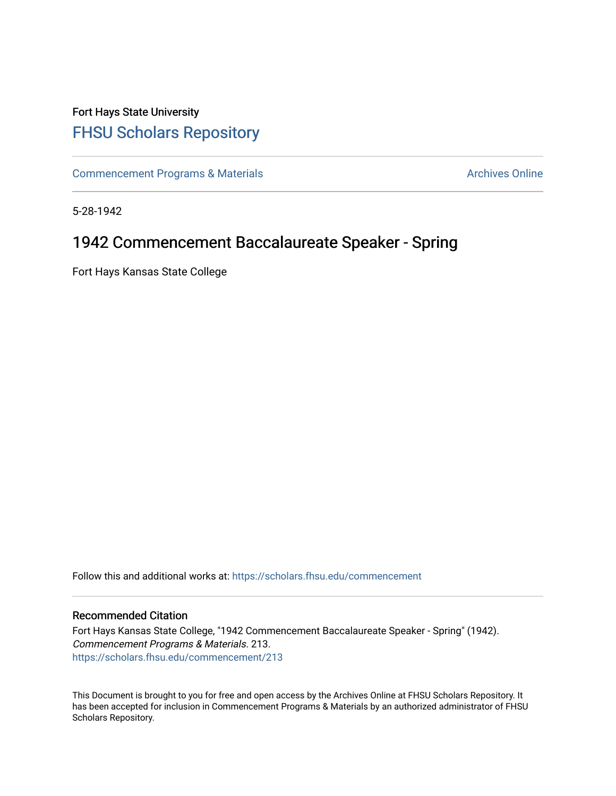## Fort Hays State University [FHSU Scholars Repository](https://scholars.fhsu.edu/)

[Commencement Programs & Materials](https://scholars.fhsu.edu/commencement) **Archives Online** Archives Online

5-28-1942

## 1942 Commencement Baccalaureate Speaker - Spring

Fort Hays Kansas State College

Follow this and additional works at: [https://scholars.fhsu.edu/commencement](https://scholars.fhsu.edu/commencement?utm_source=scholars.fhsu.edu%2Fcommencement%2F213&utm_medium=PDF&utm_campaign=PDFCoverPages)

## Recommended Citation

Fort Hays Kansas State College, "1942 Commencement Baccalaureate Speaker - Spring" (1942). Commencement Programs & Materials. 213. [https://scholars.fhsu.edu/commencement/213](https://scholars.fhsu.edu/commencement/213?utm_source=scholars.fhsu.edu%2Fcommencement%2F213&utm_medium=PDF&utm_campaign=PDFCoverPages)

This Document is brought to you for free and open access by the Archives Online at FHSU Scholars Repository. It has been accepted for inclusion in Commencement Programs & Materials by an authorized administrator of FHSU Scholars Repository.